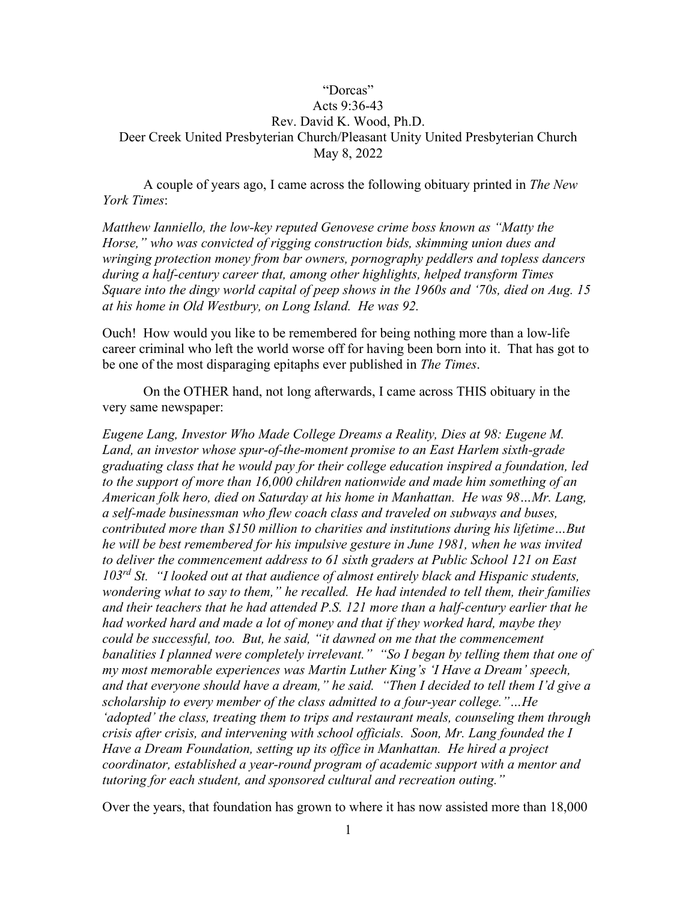## "Dorcas" Acts 9:36-43 Rev. David K. Wood, Ph.D. Deer Creek United Presbyterian Church/Pleasant Unity United Presbyterian Church May 8, 2022

A couple of years ago, I came across the following obituary printed in *The New York Times*:

*Matthew Ianniello, the low-key reputed Genovese crime boss known as "Matty the Horse," who was convicted of rigging construction bids, skimming union dues and wringing protection money from bar owners, pornography peddlers and topless dancers during a half-century career that, among other highlights, helped transform Times Square into the dingy world capital of peep shows in the 1960s and '70s, died on Aug. 15 at his home in Old Westbury, on Long Island. He was 92.*

Ouch! How would you like to be remembered for being nothing more than a low-life career criminal who left the world worse off for having been born into it. That has got to be one of the most disparaging epitaphs ever published in *The Times*.

On the OTHER hand, not long afterwards, I came across THIS obituary in the very same newspaper:

*Eugene Lang, Investor Who Made College Dreams a Reality, Dies at 98: Eugene M. Land, an investor whose spur-of-the-moment promise to an East Harlem sixth-grade graduating class that he would pay for their college education inspired a foundation, led to the support of more than 16,000 children nationwide and made him something of an American folk hero, died on Saturday at his home in Manhattan. He was 98…Mr. Lang, a self-made businessman who flew coach class and traveled on subways and buses, contributed more than \$150 million to charities and institutions during his lifetime…But he will be best remembered for his impulsive gesture in June 1981, when he was invited to deliver the commencement address to 61 sixth graders at Public School 121 on East 103rd St. "I looked out at that audience of almost entirely black and Hispanic students, wondering what to say to them," he recalled. He had intended to tell them, their families and their teachers that he had attended P.S. 121 more than a half-century earlier that he had worked hard and made a lot of money and that if they worked hard, maybe they could be successful, too. But, he said, "it dawned on me that the commencement banalities I planned were completely irrelevant." "So I began by telling them that one of my most memorable experiences was Martin Luther King's 'I Have a Dream' speech, and that everyone should have a dream," he said. "Then I decided to tell them I'd give a scholarship to every member of the class admitted to a four-year college."…He 'adopted' the class, treating them to trips and restaurant meals, counseling them through crisis after crisis, and intervening with school officials. Soon, Mr. Lang founded the I Have a Dream Foundation, setting up its office in Manhattan. He hired a project coordinator, established a year-round program of academic support with a mentor and tutoring for each student, and sponsored cultural and recreation outing."* 

Over the years, that foundation has grown to where it has now assisted more than 18,000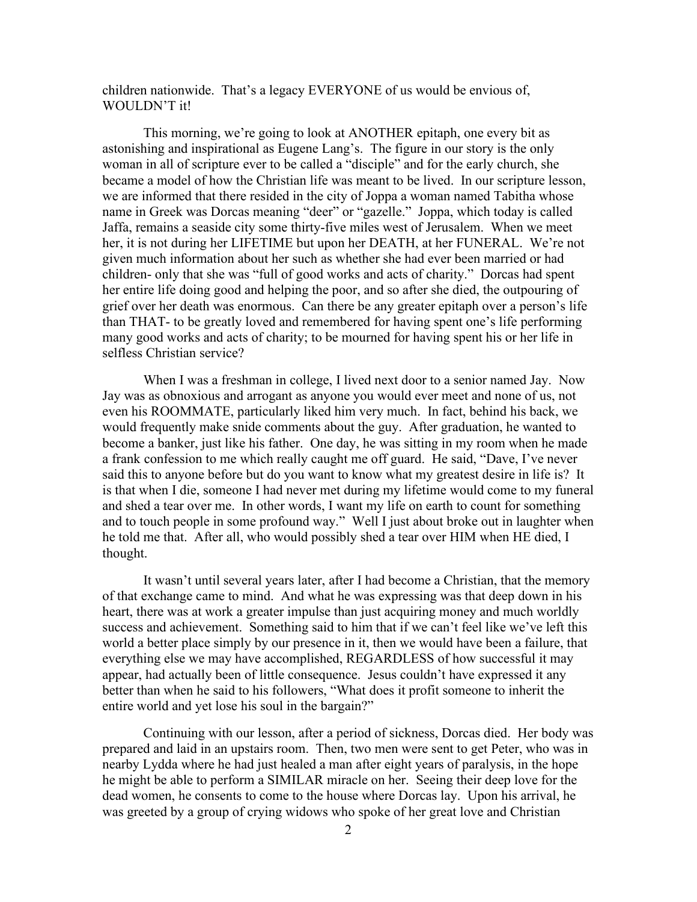children nationwide. That's a legacy EVERYONE of us would be envious of, WOULDN'T it!

This morning, we're going to look at ANOTHER epitaph, one every bit as astonishing and inspirational as Eugene Lang's. The figure in our story is the only woman in all of scripture ever to be called a "disciple" and for the early church, she became a model of how the Christian life was meant to be lived. In our scripture lesson, we are informed that there resided in the city of Joppa a woman named Tabitha whose name in Greek was Dorcas meaning "deer" or "gazelle." Joppa, which today is called Jaffa, remains a seaside city some thirty-five miles west of Jerusalem. When we meet her, it is not during her LIFETIME but upon her DEATH, at her FUNERAL. We're not given much information about her such as whether she had ever been married or had children- only that she was "full of good works and acts of charity." Dorcas had spent her entire life doing good and helping the poor, and so after she died, the outpouring of grief over her death was enormous. Can there be any greater epitaph over a person's life than THAT- to be greatly loved and remembered for having spent one's life performing many good works and acts of charity; to be mourned for having spent his or her life in selfless Christian service?

When I was a freshman in college, I lived next door to a senior named Jay. Now Jay was as obnoxious and arrogant as anyone you would ever meet and none of us, not even his ROOMMATE, particularly liked him very much. In fact, behind his back, we would frequently make snide comments about the guy. After graduation, he wanted to become a banker, just like his father. One day, he was sitting in my room when he made a frank confession to me which really caught me off guard. He said, "Dave, I've never said this to anyone before but do you want to know what my greatest desire in life is? It is that when I die, someone I had never met during my lifetime would come to my funeral and shed a tear over me. In other words, I want my life on earth to count for something and to touch people in some profound way." Well I just about broke out in laughter when he told me that. After all, who would possibly shed a tear over HIM when HE died, I thought.

It wasn't until several years later, after I had become a Christian, that the memory of that exchange came to mind. And what he was expressing was that deep down in his heart, there was at work a greater impulse than just acquiring money and much worldly success and achievement. Something said to him that if we can't feel like we've left this world a better place simply by our presence in it, then we would have been a failure, that everything else we may have accomplished, REGARDLESS of how successful it may appear, had actually been of little consequence. Jesus couldn't have expressed it any better than when he said to his followers, "What does it profit someone to inherit the entire world and yet lose his soul in the bargain?"

Continuing with our lesson, after a period of sickness, Dorcas died. Her body was prepared and laid in an upstairs room. Then, two men were sent to get Peter, who was in nearby Lydda where he had just healed a man after eight years of paralysis, in the hope he might be able to perform a SIMILAR miracle on her. Seeing their deep love for the dead women, he consents to come to the house where Dorcas lay. Upon his arrival, he was greeted by a group of crying widows who spoke of her great love and Christian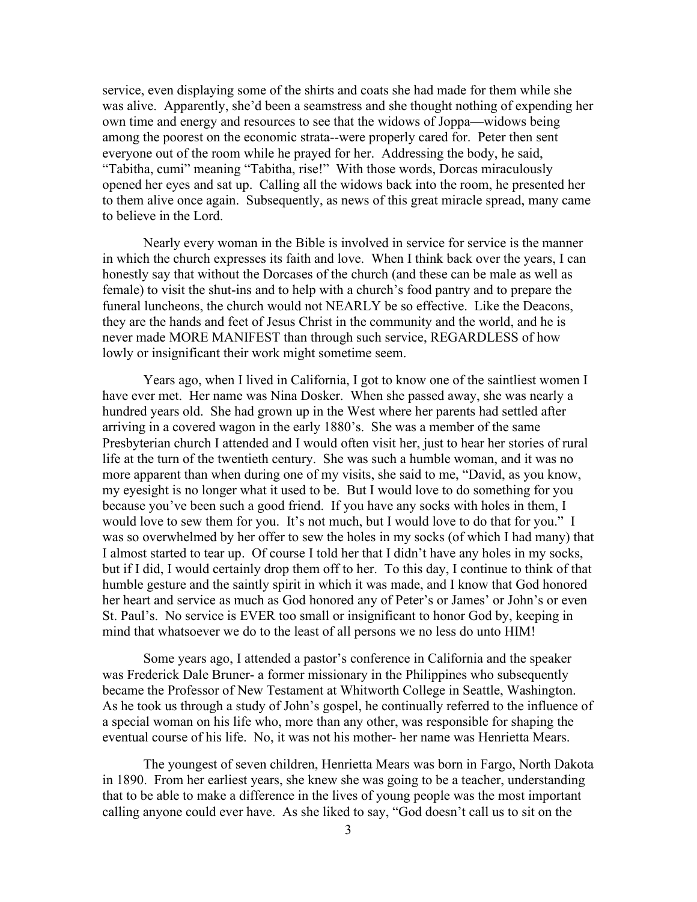service, even displaying some of the shirts and coats she had made for them while she was alive. Apparently, she'd been a seamstress and she thought nothing of expending her own time and energy and resources to see that the widows of Joppa—widows being among the poorest on the economic strata--were properly cared for. Peter then sent everyone out of the room while he prayed for her. Addressing the body, he said, "Tabitha, cumi" meaning "Tabitha, rise!" With those words, Dorcas miraculously opened her eyes and sat up. Calling all the widows back into the room, he presented her to them alive once again. Subsequently, as news of this great miracle spread, many came to believe in the Lord.

Nearly every woman in the Bible is involved in service for service is the manner in which the church expresses its faith and love. When I think back over the years, I can honestly say that without the Dorcases of the church (and these can be male as well as female) to visit the shut-ins and to help with a church's food pantry and to prepare the funeral luncheons, the church would not NEARLY be so effective. Like the Deacons, they are the hands and feet of Jesus Christ in the community and the world, and he is never made MORE MANIFEST than through such service, REGARDLESS of how lowly or insignificant their work might sometime seem.

Years ago, when I lived in California, I got to know one of the saintliest women I have ever met. Her name was Nina Dosker. When she passed away, she was nearly a hundred years old. She had grown up in the West where her parents had settled after arriving in a covered wagon in the early 1880's. She was a member of the same Presbyterian church I attended and I would often visit her, just to hear her stories of rural life at the turn of the twentieth century. She was such a humble woman, and it was no more apparent than when during one of my visits, she said to me, "David, as you know, my eyesight is no longer what it used to be. But I would love to do something for you because you've been such a good friend. If you have any socks with holes in them, I would love to sew them for you. It's not much, but I would love to do that for you." I was so overwhelmed by her offer to sew the holes in my socks (of which I had many) that I almost started to tear up. Of course I told her that I didn't have any holes in my socks, but if I did, I would certainly drop them off to her. To this day, I continue to think of that humble gesture and the saintly spirit in which it was made, and I know that God honored her heart and service as much as God honored any of Peter's or James' or John's or even St. Paul's. No service is EVER too small or insignificant to honor God by, keeping in mind that whatsoever we do to the least of all persons we no less do unto HIM!

Some years ago, I attended a pastor's conference in California and the speaker was Frederick Dale Bruner- a former missionary in the Philippines who subsequently became the Professor of New Testament at Whitworth College in Seattle, Washington. As he took us through a study of John's gospel, he continually referred to the influence of a special woman on his life who, more than any other, was responsible for shaping the eventual course of his life. No, it was not his mother- her name was Henrietta Mears.

The youngest of seven children, Henrietta Mears was born in Fargo, North Dakota in 1890. From her earliest years, she knew she was going to be a teacher, understanding that to be able to make a difference in the lives of young people was the most important calling anyone could ever have. As she liked to say, "God doesn't call us to sit on the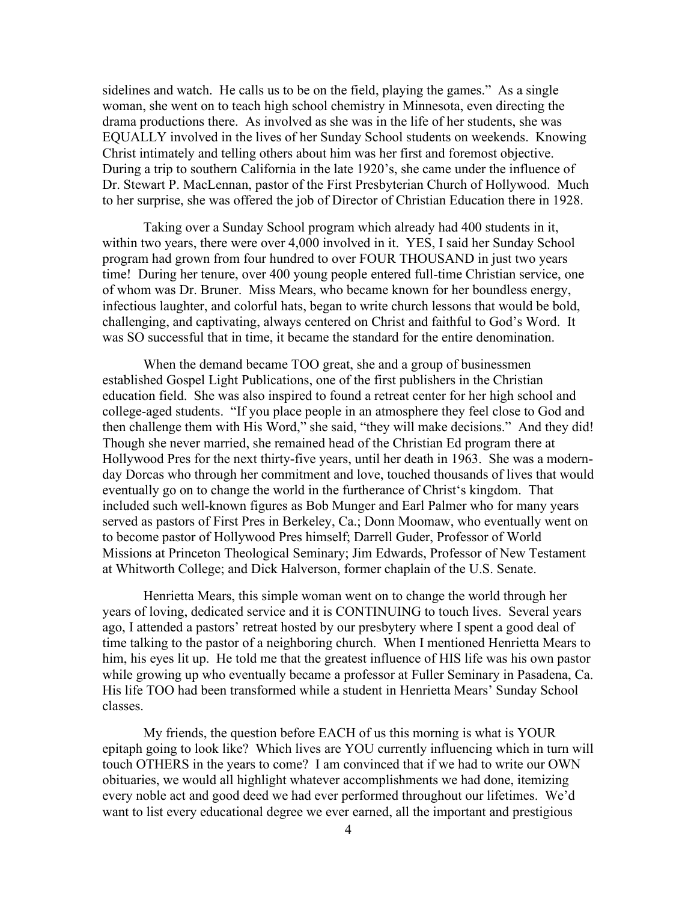sidelines and watch. He calls us to be on the field, playing the games." As a single woman, she went on to teach high school chemistry in Minnesota, even directing the drama productions there. As involved as she was in the life of her students, she was EQUALLY involved in the lives of her Sunday School students on weekends. Knowing Christ intimately and telling others about him was her first and foremost objective. During a trip to southern California in the late 1920's, she came under the influence of Dr. Stewart P. MacLennan, pastor of the First Presbyterian Church of Hollywood. Much to her surprise, she was offered the job of Director of Christian Education there in 1928.

Taking over a Sunday School program which already had 400 students in it, within two years, there were over 4,000 involved in it. YES, I said her Sunday School program had grown from four hundred to over FOUR THOUSAND in just two years time! During her tenure, over 400 young people entered full-time Christian service, one of whom was Dr. Bruner. Miss Mears, who became known for her boundless energy, infectious laughter, and colorful hats, began to write church lessons that would be bold, challenging, and captivating, always centered on Christ and faithful to God's Word. It was SO successful that in time, it became the standard for the entire denomination.

When the demand became TOO great, she and a group of businessmen established Gospel Light Publications, one of the first publishers in the Christian education field. She was also inspired to found a retreat center for her high school and college-aged students. "If you place people in an atmosphere they feel close to God and then challenge them with His Word," she said, "they will make decisions." And they did! Though she never married, she remained head of the Christian Ed program there at Hollywood Pres for the next thirty-five years, until her death in 1963. She was a modernday Dorcas who through her commitment and love, touched thousands of lives that would eventually go on to change the world in the furtherance of Christ's kingdom. That included such well-known figures as Bob Munger and Earl Palmer who for many years served as pastors of First Pres in Berkeley, Ca.; Donn Moomaw, who eventually went on to become pastor of Hollywood Pres himself; Darrell Guder, Professor of World Missions at Princeton Theological Seminary; Jim Edwards, Professor of New Testament at Whitworth College; and Dick Halverson, former chaplain of the U.S. Senate.

Henrietta Mears, this simple woman went on to change the world through her years of loving, dedicated service and it is CONTINUING to touch lives. Several years ago, I attended a pastors' retreat hosted by our presbytery where I spent a good deal of time talking to the pastor of a neighboring church. When I mentioned Henrietta Mears to him, his eyes lit up. He told me that the greatest influence of HIS life was his own pastor while growing up who eventually became a professor at Fuller Seminary in Pasadena, Ca. His life TOO had been transformed while a student in Henrietta Mears' Sunday School classes.

My friends, the question before EACH of us this morning is what is YOUR epitaph going to look like? Which lives are YOU currently influencing which in turn will touch OTHERS in the years to come? I am convinced that if we had to write our OWN obituaries, we would all highlight whatever accomplishments we had done, itemizing every noble act and good deed we had ever performed throughout our lifetimes. We'd want to list every educational degree we ever earned, all the important and prestigious